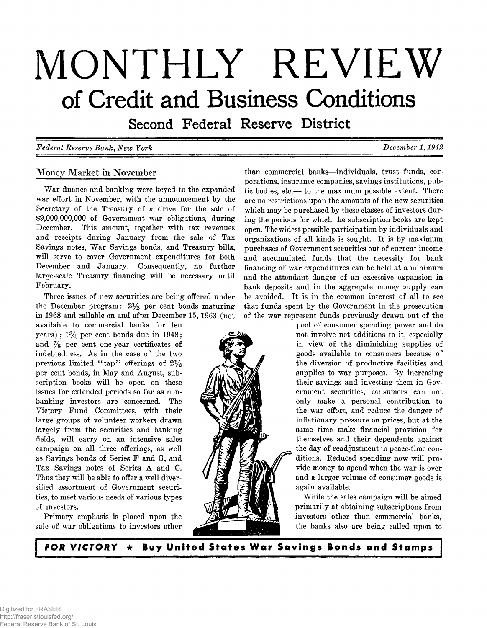# **MONTHLY REVIEW of Credit and Business Conditions**

Second Federal Reserve District

# *Federal Reserve Bank, New York*  $D = 1, 1942$

# **Money Market in November**

War finance and banking were keyed to the expanded **war effort in November, with the announcement by the Secretary of the Treasury of a drive for the sale of \$9,000,000,000 of Government war obligations, during December. This amount, together with tax revenues and receipts during January from the sale of Tax** Savings notes, War Savings bonds, and Treasury bills, **will serve to cover Government expenditures for both December and January. Consequently, no further large-scale Treasury financing will be necessary until February.**

**Three issues of new securities are being offered under the December program: 2***y 2* **per cent bonds maturing in 1968 and callable on and after December 15, 1963 (not**

**available to commercial banks for ten years) ; 1 % per cent bonds due in 1948; and % per cent one-year certificates of** indebtedness. As in the case of the two previous limited "tap" offerings of  $2\frac{1}{2}$ per cent bonds, in May and August, sub**scription books will be open on these issues for extended periods so far as nonbanking investors are concerned. The Victory Fund Committees, with their large groups of volunteer workers drawn largely from the securities and banking fields, will carry on an intensive sales campaign on all three offerings, as well as Savings bonds of Series F and G, and Tax Savings notes of Series A and C. Thus they will be able to offer a well diversified assortment of Government securities, to meet various needs of various types of investors.**

**Primary emphasis is placed upon the sale of war obligations to investors other**

**than commercial banks— individuals, trust funds, corporations, insurance companies, savings institutions, public bodies, etc.— to the maximum possible extent. There are no restrictions upon the amounts of the new securities which may be purchased by these classes of investors during the periods for which the subscription books are kept open. The widest possible participation by individuals and organizations of all kinds is sought. It is by maximum purchases of Government securities out of current income and accumulated funds that the necessity for bank financing of war expenditures can be held at a minimum and the attendant danger of an excessive expansion in bank deposits and in the aggregate money supply can be avoided. It is in the common interest of all to see that funds spent by the Government in the prosecution of the war represent funds previously drawn out of the**

> **pool of consumer spending power and do not involve net additions to it, especially in view of the diminishing supplies of goods available to consumers because of the diversion of productive facilities and** supplies to war purposes. By increasing **their savings and investing them in Government securities, consumers can not only make a personal contribution to the war effort, and reduce the danger of inflationary pressure on prices, but at the same time make financial provision for themselves and their dependents against the day of readjustment to peace-time conditions. Reduced spending now will provide money to spend when the war is over and a larger volume of consumer goods is again available.**

> **W hile the sales campaign will be aimed primarily at obtaining subscriptions from investors other than commercial banks, the banks also are being called upon to**

*FOR VICTORY*  $\star$  Buy United States War Savings Bonds and Stamps

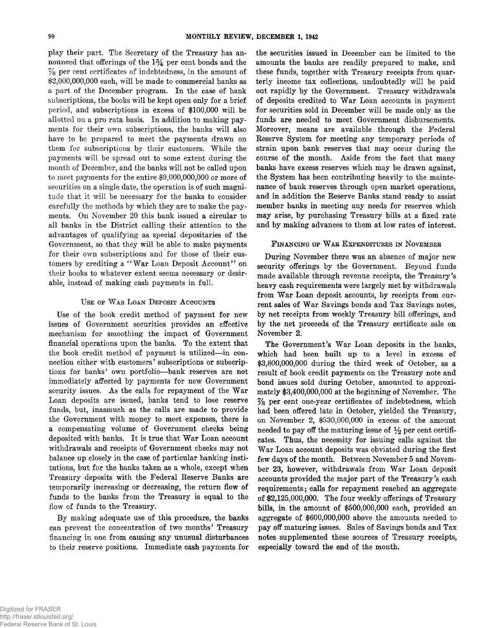**play their part. The Secretary of the Treasury has an**nounced that offerings of the 1<sup>3</sup>/<sub>4</sub> per cent bonds and the **% per cent certificates of indebtedness, in the amount of \$2,000,000,000 each, will be made to commercial banks as a part of the December program. In the case of bank subscriptions, the books will be kept open only for a brief period, and subscriptions in excess of \$100,000 will be allotted on a pro rata basis. In addition to making payments for their own subscriptions, the banks will also have to be prepared to meet the payments drawn on them for subscriptions by their customers. W hile the payments will be spread out to some extent during the month of December, and the banks will not be called upon to meet payments for the entire \$9,000,000,000 or more of securities on a single date, the operation is of such magnitude that it will be necessary for the banks to consider carefully the methods by which they are to make the payments. On November 20 this bank issued a circular to all banks in the District calling their attention to the advantages of qualifying as special depositaries of the Government, so that they will be able to make payments for their own subscriptions and for those of their cus**tomers by crediting a "War Loan Deposit Account" on **their books to whatever extent seems necessary or desirable, instead of making cash payments in full.**

#### **U se of W ar L o a n D eposit A cc o u n t s**

**Use of the book credit method of payment for new issues of Government securities provides an effective mechanism for smoothing the impact of Government financial operations upon the banks. To the extent that** the book credit method of payment is utilized—in con**nection either with customers' subscriptions or subscriptions for banks' own portfolio— bank reserves are not immediately affected by payments for new Government** security issues. As the calls for repayment of the War **Loan deposits are issued, banks tend to lose reserve funds, but, inasmuch as the calls are made to provide the Government with money to meet expenses, there is a compensating volume of Government checks being** deposited with banks. It is true that War Loan account **withdrawals and receipts of Government checks may not balance up closely in the case of particular banking institutions, but for the banks taken as a whole, except when Treasury deposits with the Federal Reserve Banks are temporarily increasing or decreasing, the return flow of funds to the banks from the Treasury is equal to the flow of funds to the Treasury.**

By making adequate use of this procedure, the banks **can prevent the concentration of two months' Treasury financing in one from causing any unusual disturbances to their reserve positions. Immediate cash payments for**

**the securities issued in December can be limited to the amounts the banks are readily prepared to make, and these funds, together with Treasury receipts from quarterly income tax collections, undoubtedly will be paid out rapidly by the Government. Treasury withdrawals** of deposits credited to War Loan accounts in payment **for securities sold in December will be made only as the funds are needed to meet Government disbursements. Moreover, means are available through the Federal Reserve System for meeting any temporary periods of strain upon bank reserves that may occur during the course of the month. Aside from the fact that many banks have excess reserves which may be drawn against, the System has been contributing heavily to the maintenance of bank reserves through open market operations, and in addition the Reserve Banks stand ready to assist member banks in meeting any needs for reserves which may arise, by purchasing Treasury bills at a fixed rate and by making advances to them at low rates of interest.**

#### **FINANCING OF WAR EXPENDITURES IN NOVEMBER**

**During November there was an absence of major new security offerings by the Government. Beyond funds made available through revenue receipts, the Treasury's heavy cash requirements were largely met by withdrawals** from War Loan deposit accounts, by receipts from current sales of War Savings bonds and Tax Savings notes, **by net receipts from weekly Treasury bill offerings, and by the net proceeds of the Treasury certificate sale on November 2.**

The Government's War Loan deposits in the banks, **which had been built up to a level in excess of \$3,800,000,000 during the third week of October, as a result of book credit payments on the Treasury note and bond issues sold during October, amounted to approximately \$3,400,000,000 at the beginning of November. The % per cent one-year certificates of indebtedness, which had been offered late in October, yielded the Treasury, on November 2, \$530,000,000 in excess of the amount** needed to pay off the maturing issue of  $\frac{1}{2}$  per cent certifi**cates. Thus, the necessity for issuing calls against the** War Loan account deposits was obviated during the first **few days of the month. Between November 5 and Novem**ber 23, however, withdrawals from War Loan deposit **accounts provided the m ajor part of the Treasury's cash requirements; calls for repayment reached an aggregate of \$2,125,000,000. The four weekly offerings of Treasury bills, in the amount of \$500,000,000 each, provided an aggregate of \$600,000,000 above the amounts needed to pay off maturing issues. Sales of Savings bonds and Tax notes supplemented these sources of Treasury receipts, especially toward the end of the month.**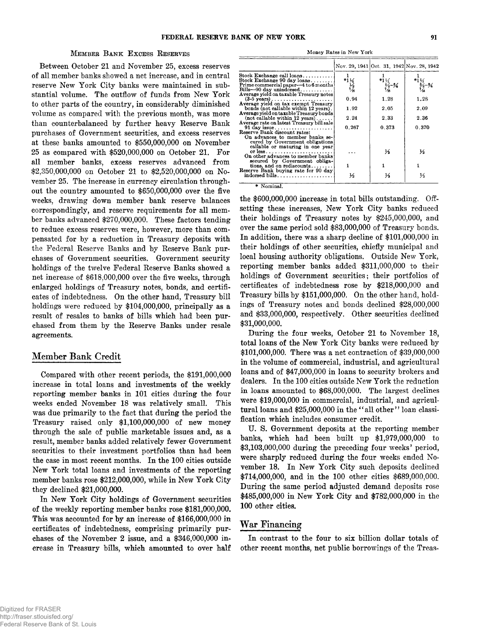# **<sup>M</sup> e m b e r<sup>B</sup> a n k<sup>E</sup> x c e s s<sup>R</sup> e s e r v e s Money Rates in New York**

**Between October 21 and November 25, excess reserves of all member banks showed a net increase, and in central reserve New York City banks were maintained in substantial volume. The outflow of funds from New York to other parts of the country, in considerably diminished volume as compared with the previous month, was more than counterbalanced by further heavy Reserve Bank purchases of Government securities, and excess reserves at these banks amounted to \$550,000,000 on November 25 as compared with \$520,000,000 on October 21. For all member banks, excess reserves advanced from \$2,350,000,000 on October 21 to \$2,520,000,000 on November 25. The increase in currency circulation throughout the country amounted to \$650,000,000 over the five weeks, drawing down member bank reserve balances correspondingly, and reserve requirements for all member banks advanced \$270,000,000. These factors tending to reduce excess reserves were, however, more than compensated for by a reduction in Treasury deposits with the Federal Reserve Banks and by Reserve Bank purchases of Government securities. Government security holdings of the twelve Federal Reserve Banks showed a net increase of \$618,000,000 over the five weeks, through enlarged holdings of Treasury notes, bonds, and certificates of indebtedness. On the other hand, Treasury bill holdings were reduced by \$104,000,000, principally as a result of resales to banks of bills which had been purchased from them by the Reserve Banks under resale agreements.**

#### **Member Bank Credit**

**Compared with other recent periods, the \$191,000,000 increase in total loans and investments of the weekly reporting member banks in 101 cities during the four weeks ended November 18 was relatively small. This was due primarily to the fact that during the period the Treasury raised only \$1,100,000,000 of new money through the sale of public marketable issues and, as a result, member banks added relatively fewer Government securities to their investment portfolios than had been the case in most recent months. In the 100 cities outside New York total loans and investments of the reporting member banks rose \$212,000,000, while in New York City they declined \$21,000,000.**

**In New York City holdings of Government securities of the weekly reporting member banks rose \$181,000,000. This was accounted for by an increase of \$166,000,000 in certificates of indebtedness, comprising primarily purchases of the November 2 issue, and a \$346,000,000 increase in Treasury bills, which amounted to over half**

|                                                                                  |                                                                                                                                                                                                                                                                                                                        | Nov. 29, 1941 Oct. 31, 1942 Nov. 28, 1942                |                   |
|----------------------------------------------------------------------------------|------------------------------------------------------------------------------------------------------------------------------------------------------------------------------------------------------------------------------------------------------------------------------------------------------------------------|----------------------------------------------------------|-------------------|
| $Stock$ Exchange call loans                                                      |                                                                                                                                                                                                                                                                                                                        | *1 $\frac{1}{2}$<br>$\frac{5}{4}$ = 34<br>$\frac{5}{10}$ |                   |
| Stock Exchange 90 day loans<br>Prime commercial paper-4 to 6 months              | $^{*1}$ $\frac{1}{2}$ $\frac{1}{4}$ $\frac{1}{4}$ $\frac{1}{4}$ $\frac{1}{4}$ $\frac{1}{4}$ $\frac{1}{4}$ $\frac{1}{4}$ $\frac{1}{4}$ $\frac{1}{4}$ $\frac{1}{4}$ $\frac{1}{4}$ $\frac{1}{4}$ $\frac{1}{4}$ $\frac{1}{4}$ $\frac{1}{4}$ $\frac{1}{4}$ $\frac{1}{4}$ $\frac{1}{4}$ $\frac{1}{4}$ $\frac{1}{4}$ $\frac{$ |                                                          | $*1\frac{1}{4}$   |
| $Bills - 90$ day unindorsed                                                      |                                                                                                                                                                                                                                                                                                                        |                                                          | $\frac{5}{6}$ - % |
| Average yield on taxable Treasury notes                                          |                                                                                                                                                                                                                                                                                                                        |                                                          |                   |
| $(3-5 \text{ years}) \dots \dots \dots \dots \dots \dots$                        | 0.94                                                                                                                                                                                                                                                                                                                   | 1.28                                                     | 1.28              |
| Average yield on tax exempt Treasury                                             |                                                                                                                                                                                                                                                                                                                        |                                                          |                   |
| bonds (not callable within 12 years).<br>Average yield on taxable Treasury bonds | 1.92                                                                                                                                                                                                                                                                                                                   | 2.05                                                     | 2.09              |
| $(not$ callable within 12 years)                                                 | 2.24                                                                                                                                                                                                                                                                                                                   | 2.33                                                     | 236               |
| Average rate on latest Treasury bill sale                                        |                                                                                                                                                                                                                                                                                                                        |                                                          |                   |
| $91$ day issue                                                                   | 0.267                                                                                                                                                                                                                                                                                                                  | 0.373                                                    | 0.370             |
| Reserve Bank discount rates:                                                     |                                                                                                                                                                                                                                                                                                                        |                                                          |                   |
| On advances to member banks se-                                                  |                                                                                                                                                                                                                                                                                                                        |                                                          |                   |
| cured by Government obligations<br>callable or maturing in one year              |                                                                                                                                                                                                                                                                                                                        |                                                          |                   |
| or less                                                                          |                                                                                                                                                                                                                                                                                                                        | ⅓                                                        | ⅓                 |
| On other advances to member banks                                                |                                                                                                                                                                                                                                                                                                                        |                                                          |                   |
| secured by Government obliga-                                                    |                                                                                                                                                                                                                                                                                                                        |                                                          |                   |
| tions, and on rediscounts                                                        |                                                                                                                                                                                                                                                                                                                        |                                                          |                   |
| Reserve Bank buying rate for 90 day                                              |                                                                                                                                                                                                                                                                                                                        |                                                          |                   |
| $indorsed \; \text{bills} \ldots \ldots \ldots \ldots \ldots$                    | ⅓                                                                                                                                                                                                                                                                                                                      | ⅓                                                        | ⅓                 |
|                                                                                  |                                                                                                                                                                                                                                                                                                                        |                                                          |                   |

**\* Nominal.**

**the \$600,000,000 increase in total bills outstanding. Offsetting these increases, New York City banks reduced their holdings of Treasury notes by \$245,000,000, and over the same period sold \$83,000,000 of Treasury bonds. In addition, there was a sharp decline of \$101,000,000 in their holdings of other securities, chiefly municipal and local housing authority obligations. Outside New York, reporting member banks added \$311,000,000 to their holdings of Government securities; their portfolios of certificates of indebtedness rose by \$218,000,000 and Treasury bills by \$151,000,000. On the other hand, holdings of Treasury notes and bonds declined \$28,000,000 and \$33,000,000, respectively. Other securities declined \$31,000,000.**

**During the four weeks, October 21 to November 18, total loans of the New York City banks were reduced by \$101,000,000. There was a net contraction of \$39,000,000 in the volume of commercial, industrial, and agricultural loans and of \$47,000,000 in loans to security brokers and dealers. In the 100 cities outside New York the reduction in loans amounted to \$68,000,000. The largest declines were \$19,000,000 in commercial, industrial, and agricultural loans and \$25,000,000 in the " all other" loan classification which includes consumer credit.**

U. S. Government deposits at the reporting member **banks, which had been built up \$1,979,000,000 to \$3,103,000,000 during the preceding four weeks' period, were sharply reduced during the four weeks ended November 18. In New York City such deposits declined \$714,000,000, and in the 100 other cities \$689,000,000. During the same period adjusted demand deposits rose \$485,000,000 in New York City and \$782,000,000 in the 100 other cities.**

#### **War Financing**

**In contrast to the four to six billion dollar totals of other recent months, net public borrowings of the Treas-**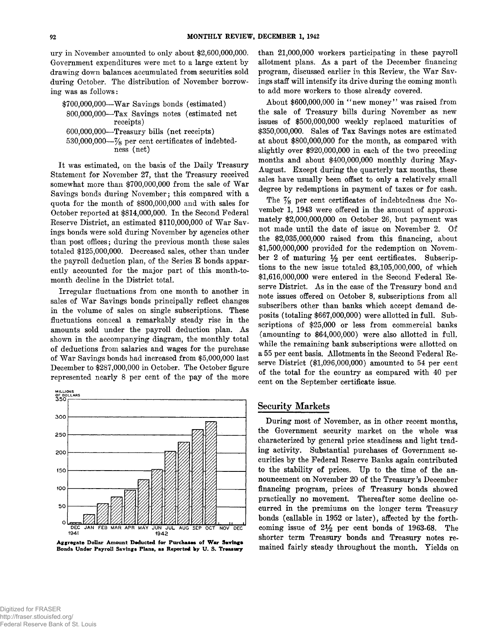**ury in November amounted to only about \$2,600,000,000. Government expenditures were met to a large extent by drawing down balances accumulated from securities sold during October. The distribution of November borrow**ing was as follows:

**\$700,000,000— W a r Savings bonds (estimated) 800.000.000— Tax Savings notes (estimated net receipts) 600.000.000— Treasury bills (net receipts) 530.000.000— % per cent certificates of indebtedness (net)**

It was estimated, on the basis of the Daily Treasury **Statement for November 27, that the Treasury received** somewhat more than \$700,000,000 from the sale of War **Savings bonds during November; this compared with a quota for the month of \$800,000,000 and with sales for October reported at \$814,000,000. In the Second Federal** Reserve District, an estimated \$110,000,000 of War Sav**ings bonds were sold during November by agencies other than post offices; during the previous month these sales totaled \$125,000,000. Decreased sales, other than under the payroll deduction plan, of the Series E bonds apparently accounted for the major part of this month-tomonth decline in the District total.**

**Irregular fluctuations from one month to another in** sales of War Savings bonds principally reflect changes **in the volume of sales on single subscriptions. These fluctuations conceal a remarkably steady rise in the** amounts sold under the payroll deduction plan. As **shown in the accompanying diagram, the monthly total of deductions from salaries and wages for the purchase** of War Savings bonds had increased from \$5,000,000 last **December to \$287,000,000 in October. The October figure represented nearly 8 per cent of the pay of the more**



Aggregate Dollar Amount Deducted for Purchases of War Savings Bonds Under Payroll Savings Plans, as Reported by U. S. Treasury

**than 21,000,000 workers participating in these payroll** allotment plans. As a part of the December financing program, discussed earlier in this Review, the War Sav**ings staff will intensify its drive during the coming month to add more workers to those already covered.**

About \$600,000,000 in "new money" was raised from **the sale of Treasury bills during November as new issues of \$500,000,000 weekly replaced maturities of \$350,000,000. Sales of Tax Savings notes are estimated at about \$800,000,000 for the month, as compared with slightly over \$920,000,000 in each of the two preceding** months and about \$400,000,000 monthly during May-**August. Except during the quarterly tax months, these sales have usually been offset to only a relatively small degree by redemptions in payment of taxes or for cash.**

The  $\frac{7}{8}$  per cent certificates of indebtedness due No**vember 1, 1943 were offered in the amount of approximately \$2,000,000,000 on October 26, but payment was** not made until the date of issue on November 2. Of **the \$2,035,000,000 raised from this financing, about \$1,500,000,000 provided for the redemption on Novem**ber 2 of maturing  $\frac{1}{2}$  per cent certificates. Subscrip**tions to the new issue totaled \$3,105,000,000, of which \$1,616,000,000 were entered in the Second Federal Re**serve District. As in the case of the Treasury bond and **note issues offered on October 8, subscriptions from all subscribers other than banks which accept demand deposits (totaling \$667,000,000) were allotted in full. Subscriptions of \$25,000 or less from commercial banks (amounting to \$64,000,000) were also allotted in full, while the remaining bank subscriptions were allotted on a 55 per cent basis. Allotments in the Second Federal Reserve District (\$1,096,000,000) amounted to 54 per cent of the total for the country as compared with 40 per cent on the September certificate issue.**

# **Security Markets**

**During most of November, as in other recent months, the Government security market on the whole was characterized by general price steadiness and light trading activity. Substantial purchases of Government securities by the Federal Reserve Banks again contributed to the stability of prices. Up to the time of the announcement on November 20 of the Treasury's December financing program, prices of Treasury bonds showed practically no movement. Thereafter some decline occurred in the premiums on the longer term Treasury bonds (callable in 1952 or later), affected by the forthcoming issue of 2***y 2* **per cent bonds of 1963-68. The shorter term Treasury bonds and Treasury notes remained fairly steady throughout the month. Yields on**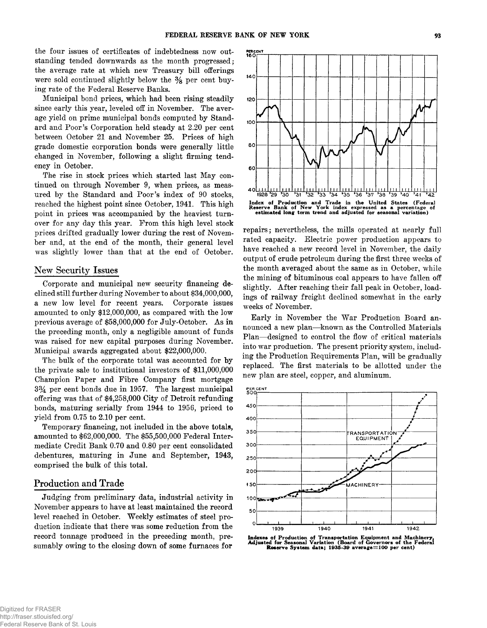**the four issues of certificates of indebtedness now outstanding tended downwards as the month progressed; the average rate at which new Treasury bill offerings** were sold continued slightly below the  $\frac{3}{8}$  per cent buy**ing rate of the Federal Reserve Banks.**

**Municipal bond prices, which had been rising steadily since early this year, leveled off in November. The average yield on prime municipal bonds computed by Standard and Poor's Corporation held steady at 2.20 per cent between October 21 and November 25. Prices of high grade domestic corporation bonds were generally little changed in November, following a slight firming tendency in October.**

The rise in stock prices which started last May con**tinued on through November 9, when prices, as measured by the Standard and Poor's index of 90 stocks, reached the highest point since October, 1941. This high point in prices was accompanied by the heaviest turnover for any day this year. From this high level stock prices drifted gradually lower during the rest of November and, at the end of the month, their general level was slightly lower than that at the end of October.**

# **New Security Issues**

**Corporate and municipal new security financing declined still further during November to about \$34,000,000, a new low level for recent years. Corporate issues amounted to only \$12,000,000, as compared with the low** previous average of \$58,000,000 for July-October. As in **the preceding month, only a negligible amount of funds was raised for new capital purposes during November. Municipal awards aggregated about \$22,000,000.**

**The bulk of the corporate total was accounted for by the private sale to institutional investors of \$11,000,000 Champion Paper and Fibre Company first mortgage 3 % per cent bonds due in 1957. The largest municipal offering was that of \$4,258,000 City of Detroit refunding bonds, maturing serially from 1944 to 1956, priced to yield from 0.75 to 2.10 per cent.**

**Temporary financing, not included in the above totals, amounted to \$62,000,000. The \$55,500,000 Federal Intermediate Credit Bank 0.70 and 0.80 per cent consolidated debentures, maturing in June and September, 1943, comprised the bulk of this total.**

# **Production and Trade**

**Judging from preliminary data, industrial activity in November appears to have at least maintained the record** level reached in October. Weekly estimates of steel pro**duction indicate that there was some reduction from the record tonnage produced in the preceding month, presumably owing to the closing down of some furnaces for**



**repairs; nevertheless, the mills operated at nearly full rated capacity. Electric power production appears to have reached a new record level in November, the daily output of crude petroleum during the first three weeks of the month averaged about the same as in October, while the mining of bituminous coal appears to have fallen off** slightly. After reaching their fall peak in October, load**ings of railway freight declined somewhat in the early weeks of November.**

Early in November the War Production Board an**nounced a new plan— known as the Controlled Materials Plan— designed to control the flow of critical materials into war production. The present priority system, including the Production Requirements Plan, will be gradually replaced. The first materials to be allotted under the new plan are steel, copper, and aluminum.**



**Indexes of Production of Transportation Equipment and Machinery, Adjusted for Seasonal Variation (Board of Governors of the Federal Reserve System data; 1935-39 average =100 per cent)**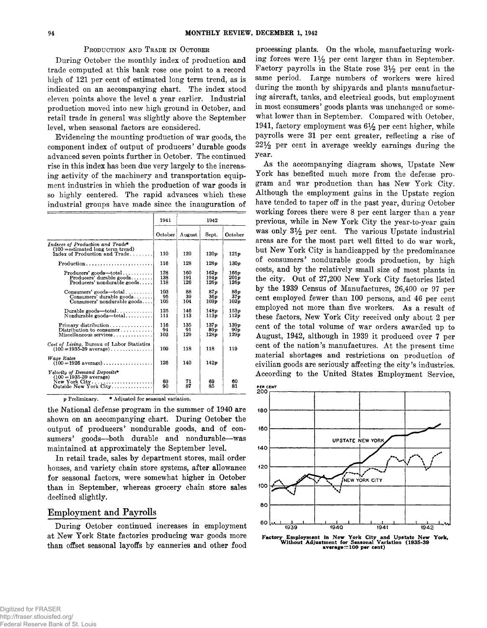#### **PRODUCTION AND TRADE IN OCTOBER**

**During October the monthly index of production and trade computed at this bank rose one point to a record high of 121 per cent of estimated long term trend, as is indicated on an accompanying chart. The index stood eleven points above the level a year earlier. Industrial production moved into new high ground in October, and retail trade in general was slightly above the September level, when seasonal factors are considered.**

**Evidencing the mounting production of war goods, the component index of output of producers' durable goods advanced seven points further in October. The continued rise in this index has been due very largely to the increasing activity of the machinery and transportation equipment industries in which the production of war goods is so highly centered. The rapid advances which these** industrial groups have made since the inauguration of

|                                                                                                                                                   | 1941              | 1942              |                                  |                       |
|---------------------------------------------------------------------------------------------------------------------------------------------------|-------------------|-------------------|----------------------------------|-----------------------|
|                                                                                                                                                   | October           | August            | Sept.                            | October               |
| Indexes of Production and Trade*<br>$(100 =$ estimated long term trend)<br>Index of Production and Trade                                          | 110               | 120               | 120p                             | 121p                  |
| $Production \dots \dots \dots \dots \dots \dots \dots \dots \dots$                                                                                | 116               | 128               | 128p                             | 130p                  |
| $Producers' goods - total \ldots$<br>Producers' durable goods<br>Producers' nondurable goods                                                      | 128<br>138<br>118 | 160<br>191<br>126 | 162p<br>194 <sub>p</sub><br>126p | 166 p<br>201p<br>126p |
| $Consumers'$ goods-total<br>$Consumers'$ durable $goods$<br>Consumers' nondurable goods                                                           | 103<br>95<br>105  | 88<br>39<br>104   | 87p<br>36 о<br>103p              | 86n<br>37n<br>102p    |
| $Durable$ goods—total<br>$Nondurable$ goods—total                                                                                                 | 125<br>111        | 146<br>113        | 148p<br>113p                     | 153 o<br>112p         |
| Primary distribution<br>Distribution to consumer<br>Miscellaneous services                                                                        | 116<br>94<br>103  | 135<br>91<br>129  | 137p<br>89 p<br>128p             | 139p<br>90x<br>129p   |
| Cost of Living, Bureau of Labor Statistics<br>$(100 = 1935 - 39 \text{ average}) \dots \dots \dots \dots$                                         | 109               | 118               | 118                              | 119                   |
| Wage Rates<br>$(100 - 1926 \text{ average}) \dots \dots \dots \dots$                                                                              | 126               | 140               | 142p                             |                       |
| Velocity of Demand Deposits*<br>$(100 - 1935 - 39$ average)<br>$New York City \ldots \ldots \ldots \ldots \ldots \ldots$<br>Outside New York City | 69<br>90          | 71<br>87          | 69<br>85                         | 60<br>81              |

**p Preliminary. \* Adjusted for seasonal variation.**

**the National defense program in the summer of 1940 are shown on an accompanying chart. During October the output of producers' nondurable goods, and of consumers' goods— both durable and nondurable— was maintained at approximately the September level.**

**In retail trade, sales by department stores, mail order houses, and variety chain store systems, after allowance for seasonal factors, were somewhat higher in October than in September, whereas grocery chain store sales declined slightly.**

# **Employment and Payrolls**

**During October continued increases in employment at New York State factories producing war goods more than offset seasonal layoffs by canneries and other food**

**processing plants. On the whole, manufacturing work**ing forces were  $1\frac{1}{2}$  per cent larger than in September. **Factory payrolls in the State rose 3***y 2* **per cent in the same period. Large numbers of workers were hired during the month by shipyards and plants manufacturing aircraft, tanks, and electrical goods, but employment in most consumers' goods plants was unchanged or somewhat lower than in September. Compared with October, 1941, factory employment was** *6y 2* **per cent higher, while payrolls were 31 per cent greater, reflecting a rise of 22***y 2* **per cent in average weekly earnings during the year.**

As the accompanying diagram shows, Upstate New **York has benefited much more from the defense program and war production than has New York City. Although the employment gains in the Upstate region have tended to taper off in the past year, during October working forces there were 8 per cent larger than a year previous, while in New York City the year-to-year gain was only 3***y 2* **per cent. The various Upstate industrial areas are for the most part well fitted to do war work, but New York City is handicapped by the predominance of consumers' nondurable goods production, by high costs, and by the relatively small size of most plants in the city. Out of 27,200 New York City factories listed by the 1939 Census of Manufactures, 26,400 or 97 per cent employed fewer than 100 persons, and 46 per cent** employed not more than five workers. As a result of **these factors, New York City received only about 2 per cent of the total volume of war orders awarded up to August, 1942, although in 1939 it produced over 7 per** cent of the nation's manufactures. At the present time **material shortages and restrictions on production of civilian goods are seriously affecting the city's industries. According to the United States Employment Service,**



**Factory Employment in New York City and Upstate New York, Without Adjustment for Seasonal Variation (1935-39 aver age=100 per cent)**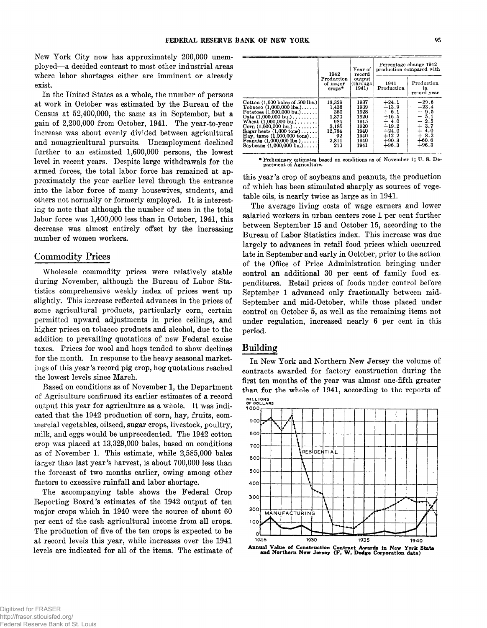**New York City now has approximately 200,000 unemployed— a decided contrast to most other industrial areas where labor shortages either are imminent or already exist.**

**In the United States as a whole, the number of persons at work in October was estimated by the Bureau of the Census at 52,400,000, the same as in September, but a gain of 2,200,000 from October, 1941. The year-to-year increase was about evenly divided between agricultural and nonagricultural pursuits. Unemployment declined further to an estimated 1,600,000 persons, the lowest level in recent years. Despite large withdrawals for the armed forces, the total labor force has remained at approximately the year earlier level through the entrance into the labor force of many housewives, students, and others not normally or formerly employed. It is interesting to note that although the number of men in the total labor force was 1,400,000 less than in October, 1941, this decrease was almost entirely offset by the increasing number of women workers.**

#### **Commodity Prices**

**Wholesale commodity prices were relatively stable during November, although the Bureau of Labor Statistics comprehensive weekly index of prices went up slightly. This increase reflected advances in the prices of some agricultural products, particularly corn, certain permitted upward adjustments in price ceilings, and higher prices on tobacco products and alcohol, due to the addition to prevailing quotations of new Federal excise taxes. Prices for wool and hogs tended to show declines for the month. In response to the heavy seasonal marketings of this year's record pig crop, hog quotations reached the lowest levels since March.**

**Based on conditions as of November 1, the Department of Agriculture confirmed its earlier estimates of a record output this year for agriculture as a whole. It was indicated that the 1942 production of corn, hay, fruits, commercial vegetables, oilseed, sugar crops, livestock, poultry, milk, and eggs would be unprecedented. The 1942 cotton crop was placed at 13,329,000 bales, based on conditions as of November 1. This estimate, while 2,585,000 bales larger than last year's harvest, is about 700,000 less than the forecast of two months earlier, owing among other factors to excessive rainfall and labor shortage.**

**The accompanying table shows the Federal Crop** Reporting Board's estimates of the 1942 output of ten **major crops which in 1940 were the source of about 60 per cent of the cash agricultural income from all crops. The production of five of the ten crops is expected to be** at record levels this year, while increases over the 1941 **levels are indicated for all of the items. The estimate of**

|                                                                                                                                                                                                                                                                                                                                                                                     | 1942<br>Production<br>of major<br>$\alpha$ rops <sup>*</sup>                    | Year of<br>record<br>output<br>(through)<br>1941)                            | Percentage change 1942<br>production compared with                                                        |                                                                                                      |  |
|-------------------------------------------------------------------------------------------------------------------------------------------------------------------------------------------------------------------------------------------------------------------------------------------------------------------------------------------------------------------------------------|---------------------------------------------------------------------------------|------------------------------------------------------------------------------|-----------------------------------------------------------------------------------------------------------|------------------------------------------------------------------------------------------------------|--|
|                                                                                                                                                                                                                                                                                                                                                                                     |                                                                                 |                                                                              | 1941<br>Production                                                                                        | Production<br>in<br>record year                                                                      |  |
| Cotton $(1,000 \text{ bales of } 500 \text{ lbs.})$<br>Tobacco $(1,000,000$ lbs.)<br>Potatoes $(1,000,000 \text{ bu.})$<br>Oats $(1,000,000 \text{ bu.}) \dots \dots$<br>Wheat $(1,000,000 \text{ bu.})$<br>Corn $(1,000,000$ bu.)<br>Sugar beets $(1,000 \text{ tons}) \dots$ .<br>Hay, tame $(1,000,000 \text{ tons})$<br>Peanuts $(1.000, 000$ lbs.)<br>Soybeans (1,000,000 bu.) | 13,329<br>1.436<br>380<br>1.370<br>984<br>3.185<br>12,784<br>92<br>2,811<br>210 | 1937<br>1939<br>1928<br>1920<br>1915<br>1920<br>1940<br>1940<br>1940<br>1941 | $+24.1$<br>$+13.9$<br>$+ 6.1$<br>$+16.5$<br>$+4.0$<br>$+19.2$<br>$+24.0$<br>$+12.2$<br>$+90.3$<br>$+96.3$ | $-29.6$<br>$-23.4$<br>$-9.5$<br>$-5.1$<br>$-2.5$<br>$+3.7$<br>$+4.0$<br>$+8.2$<br>$+60.6$<br>$+96.3$ |  |

**♦Preliminary estimates based on conditions as of November 1; U. S. De-partment of Agriculture.**

**this year's crop of soybeans and peanuts, the production of which has been stimulated sharply as sources of vegetable oils, is nearly twice as large as in 1941.**

**The average living costs of wage earners and lower salaried workers in urban centers rose 1 per cent further between September 15 and October 15, according to the Bureau of Labor Statistics index. This increase was due largely to advances in retail food prices which occurred late in September and early in October, prior to the action of the Office of Price Administration bringing under** control an additional 30 per cent of family food ex**penditures. Retail prices of foods under control before September 1 advanced only fractionally between mid-September and mid-October, while those placed under control on October 5, as well as the remaining items not under regulation, increased nearly 6 per cent in this period.**

#### **Building**

**In New York and Northern New Jersey the volume of contracts awarded for factory construction during the first ten months of the year was almost one-fifth greater than for the whole of 1941, according to the reports of**



**Annual Value of Construction Contract Awards in New York State and Northern New Jersey (F. W. Dodge Corporation data)**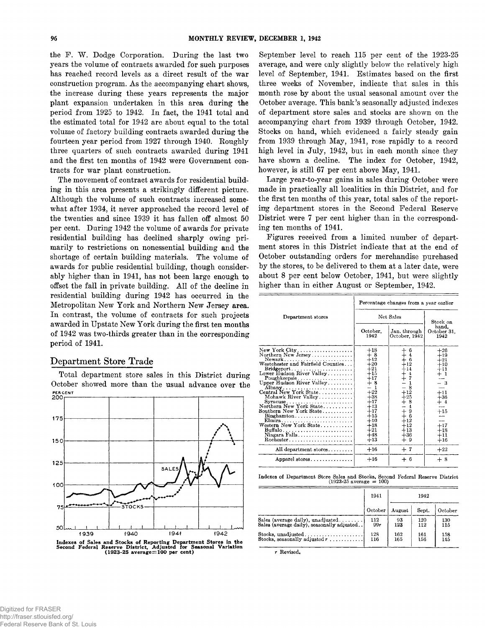the F. W. Dodge Corporation. During the last two **years the volume of contracts awarded for such purposes has reached record levels as a direct result of the war** construction program. As the accompanying chart shows, **the increase during these years represents the major plant expansion undertaken in this area during the period from 1925 to 1942. In fact, the 1941 total and the estimated total for 1942 are about equal to the total volume of factory building contracts awarded during the fourteen year period from 1927 through 1940. Roughly three quarters of such contracts awarded during 1941 and the first ten months of 1942 were Government contracts for war plant construction.**

**The movement of contract awards for residential building in this area presents a strikingly different picture. Although the volume of such contracts increased somewhat after 1934, it never approached the record level of the twenties and since 1939 it has fallen off almost 50 per cent. During 1942 the volume of awards for private residential building has declined sharply owing primarily to restrictions on nonessential building and the shortage of certain building materials. The volume of awards for public residential building, though considerably higher than in 1941, has not been large enough to** offset the fall in private building. All of the decline in **residential building during 1942 has occurred in the Metropolitan New York and Northern New Jersey area. In contrast, the volume of contracts for such projects awarded in Upstate New York during the first ten months of 1942 was two-thirds greater than in the corresponding period of 1941.**

# **Department Store Trade**

**Total department store sales in this District during October showed more than the usual advance over the PER CENT**<br>200



**Indexes of Sales and Stocks of Reporting Department Stores in the Second Federal Reserve District, Adjusted for Seasonal Variation (1923-25 average=100 per cent)**

**September level to reach 115 per cent of the 1923-25 average, and were only slightly below the relatively high level of September, 1941. Estimates based on the first three weeks of November, indicate that sales in this month rose by about the usual seasonal amount over the October average. This bank's seasonally adjusted indexes of department store sales and stocks are shown on the accompanying chart from 1939 through October, 1942. Stocks on hand, which evidenced a fairly steady gain from 1939 through May, 1941, rose rapidly to a record high level in July, 1942, but in each month since they have shown a decline. The index for October, 1942,** however, is still 67 per cent above May, 1941.

**Large year-to-year gains in sales during October were made in practically all localities in this District, and for the first ten months of this year, total sales of the reporting department stores in the Second Federal Reserve District were 7 per cent higher than in the corresponding ten months of 1941.**

**Figures received from a limited number of department stores in this District indicate that at the end of October outstanding orders for merchandise purchased by the stores, to be delivered to them at a later date, were about 8 per cent below October, 1941, but were slightly higher than in either August or September, 1942.**

|                                                                                                                                                                                                                                                                                                                                                                                                                                                                         | Percentage changes from a year earlier                                                                                                                                       |                                                                                                                                                                                                                |                                                                                                                                       |  |
|-------------------------------------------------------------------------------------------------------------------------------------------------------------------------------------------------------------------------------------------------------------------------------------------------------------------------------------------------------------------------------------------------------------------------------------------------------------------------|------------------------------------------------------------------------------------------------------------------------------------------------------------------------------|----------------------------------------------------------------------------------------------------------------------------------------------------------------------------------------------------------------|---------------------------------------------------------------------------------------------------------------------------------------|--|
| Department stores                                                                                                                                                                                                                                                                                                                                                                                                                                                       | Net Sales                                                                                                                                                                    |                                                                                                                                                                                                                | Stock on                                                                                                                              |  |
|                                                                                                                                                                                                                                                                                                                                                                                                                                                                         | October.<br>1942                                                                                                                                                             | Jan. through<br>October, 1942                                                                                                                                                                                  | hand.<br>October 31,<br>1942                                                                                                          |  |
| New York City<br>Northern New Jersey<br>Newark<br>Westchester and Fairfield Counties<br>Bridgeport<br>Lower Hudson River Valley<br>Mohawk River Valley<br>Syracuse<br>Northern New York State<br>Southern New York State<br>$Binchamton, \ldots, \ldots, \ldots, \ldots, \ldots$<br>Elimira<br>Western New York State<br>$\text{Buffalo}\dots\dots\dots\dots\dots\dots\dots\dots\dots$<br>Niagara Falls<br>$Rochester \ldots \ldots \ldots \ldots \ldots \ldots \ldots$ | $+18$<br>$+8$<br>$+12$<br>$+20$<br>$+21$<br>$+15$<br>$+17$<br>$+8$<br>- 1<br>$+22$<br>$+38$<br>$+17$<br>$+13$<br>$+17$<br>$+15$<br>$+10$<br>$+18$<br>$+21$<br>$+48$<br>$+13$ | $\begin{array}{c} + & 6 \\ + & 4 \end{array}$<br>$+6$ <sub>+12</sub><br>$+14$<br>$rac{1}{2}$<br>1<br>- 8<br>$+12$<br>$+25$<br>$+8$<br>$-4$<br>$\pm$<br>-9<br>$+$ 6<br>$+12$<br>$+12$<br>$+13$<br>$+36$<br>$+9$ | $+26$<br>$+19$<br>$+21$<br>$+10$<br>$+11$<br>$+~1$<br>- 3<br>$+11$<br>$+36$<br>$+$ 4<br>$\rm +15$<br>$+17$<br>$+18$<br>$+11$<br>$+16$ |  |
| All department stores                                                                                                                                                                                                                                                                                                                                                                                                                                                   | $+16$                                                                                                                                                                        | $+7$                                                                                                                                                                                                           | $+22$                                                                                                                                 |  |
| Apparel stores                                                                                                                                                                                                                                                                                                                                                                                                                                                          | $+16$                                                                                                                                                                        | $+6$                                                                                                                                                                                                           | $+8$                                                                                                                                  |  |

**Indexes of Department Store Sales and Stocks, Second Federal Reserve Distriot (1923-25 average = 100)**

|                                                                                 | 1941<br>1942 |            |            |            |
|---------------------------------------------------------------------------------|--------------|------------|------------|------------|
|                                                                                 |              |            |            |            |
|                                                                                 | October      | August     | Sept.      | October    |
| Sales (average daily), unadjusted<br>Sales (average daily), seasonally adjusted | 112<br>99r   | 93<br>123  | 120<br>112 | 130<br>115 |
| Stocks. unadjusted<br>Stocks, seasonally adjusted $r$                           | 128<br>116   | 162<br>165 | 161<br>156 | 158<br>145 |

**r Revised.**